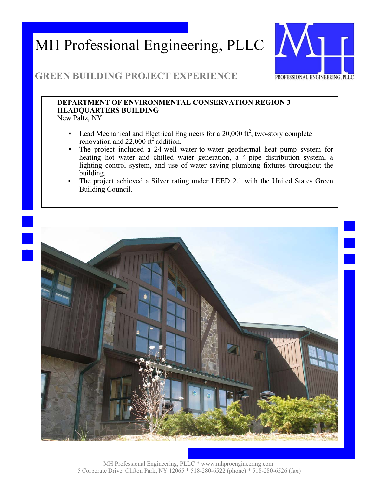

## **GREEN BUILDING PROJECT EXPERIENCE**

### **DEPARTMENT OF ENVIRONMENTAL CONSERVATION REGION 3 HEADQUARTERS BUILDING**

New Paltz, NY

- **•** Lead Mechanical and Electrical Engineers for a 20,000  $ft^2$ , two-story complete renovation and  $22,000$  ft<sup>2</sup> addition.
- The project included a 24-well water-to-water geothermal heat pump system for heating hot water and chilled water generation, a 4-pipe distribution system, a lighting control system, and use of water saving plumbing fixtures throughout the building.
- The project achieved a Silver rating under LEED 2.1 with the United States Green Building Council.

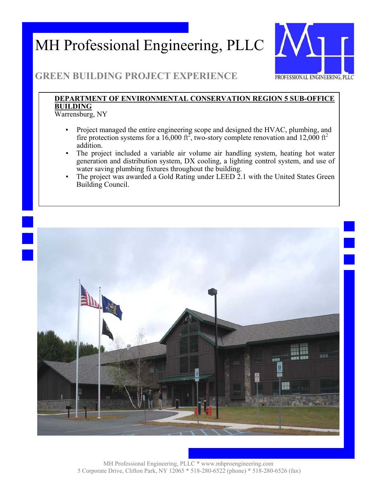

## **GREEN BUILDING PROJECT EXPERIENCE**

### **DEPARTMENT OF ENVIRONMENTAL CONSERVATION REGION 5 SUB-OFFICE BUILDING**

Warrensburg, NY

- Project managed the entire engineering scope and designed the HVAC, plumbing, and fire protection systems for a 16,000 ft<sup>2</sup>, two-story complete renovation and 12,000 ft<sup>2</sup> addition.
- The project included a variable air volume air handling system, heating hot water generation and distribution system, DX cooling, a lighting control system, and use of water saving plumbing fixtures throughout the building.
- The project was awarded a Gold Rating under LEED 2.1 with the United States Green Building Council.

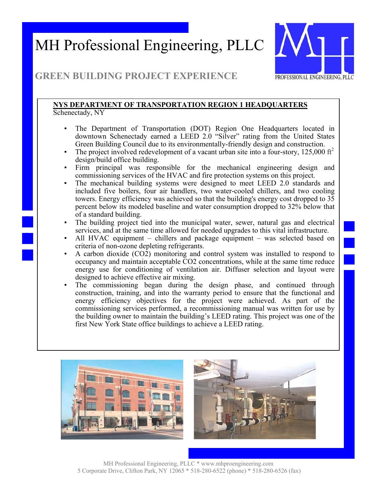

## **GREEN BUILDING PROJECT EXPERIENCE**

#### **NYS DEPARTMENT OF TRANSPORTATION REGION 1 HEADQUARTERS**  Schenectady, NY

- The Department of Transportation (DOT) Region One Headquarters located in downtown Schenectady earned a LEED 2.0 "Silver" rating from the United States Green Building Council due to its environmentally-friendly design and construction.
- The project involved redevelopment of a vacant urban site into a four-story,  $125,000 \text{ ft}^2$ design/build office building.
- Firm principal was responsible for the mechanical engineering design and commissioning services of the HVAC and fire protection systems on this project.
- The mechanical building systems were designed to meet LEED 2.0 standards and included five boilers, four air handlers, two water-cooled chillers, and two cooling towers. Energy efficiency was achieved so that the building's energy cost dropped to 35 percent below its modeled baseline and water consumption dropped to 32% below that of a standard building.
- The building project tied into the municipal water, sewer, natural gas and electrical services, and at the same time allowed for needed upgrades to this vital infrastructure.
- All HVAC equipment chillers and package equipment was selected based on criteria of non-ozone depleting refrigerants.
- A carbon dioxide (CO2) monitoring and control system was installed to respond to occupancy and maintain acceptable CO2 concentrations, while at the same time reduce energy use for conditioning of ventilation air. Diffuser selection and layout were designed to achieve effective air mixing.
- The commissioning began during the design phase, and continued through construction, training, and into the warranty period to ensure that the functional and energy efficiency objectives for the project were achieved. As part of the commissioning services performed, a recommissioning manual was written for use by the building owner to maintain the building's LEED rating. This project was one of the first New York State office buildings to achieve a LEED rating.



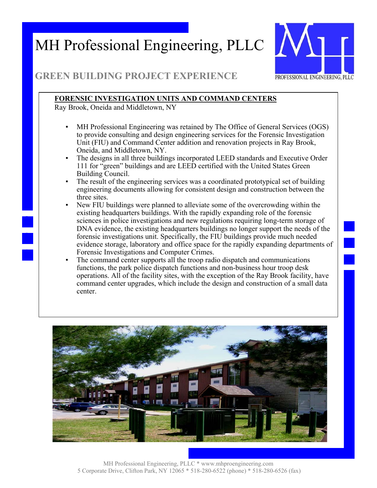

## **GREEN BUILDING PROJECT EXPERIENCE**

### **FORENSIC INVESTIGATION UNITS AND COMMAND CENTERS**

Ray Brook, Oneida and Middletown, NY

- MH Professional Engineering was retained by The Office of General Services (OGS) to provide consulting and design engineering services for the Forensic Investigation Unit (FIU) and Command Center addition and renovation projects in Ray Brook, Oneida, and Middletown, NY.
- The designs in all three buildings incorporated LEED standards and Executive Order 111 for "green" buildings and are LEED certified with the United States Green Building Council.
- The result of the engineering services was a coordinated prototypical set of building engineering documents allowing for consistent design and construction between the three sites.
- New FIU buildings were planned to alleviate some of the overcrowding within the existing headquarters buildings. With the rapidly expanding role of the forensic sciences in police investigations and new regulations requiring long-term storage of DNA evidence, the existing headquarters buildings no longer support the needs of the forensic investigations unit. Specifically, the FIU buildings provide much needed evidence storage, laboratory and office space for the rapidly expanding departments of Forensic Investigations and Computer Crimes.
- The command center supports all the troop radio dispatch and communications functions, the park police dispatch functions and non-business hour troop desk operations. All of the facility sites, with the exception of the Ray Brook facility, have command center upgrades, which include the design and construction of a small data center.